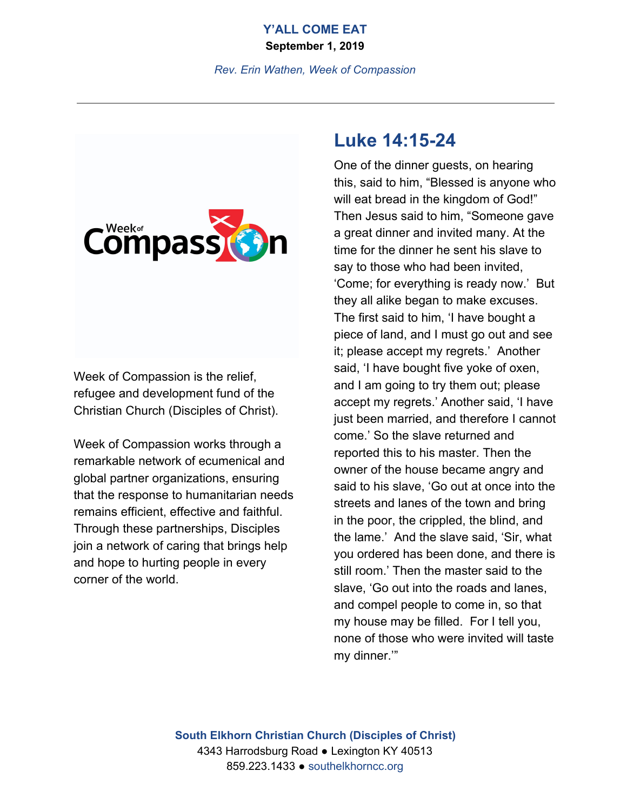# **Y'ALL COME EAT**

**September 1, 2019**

*Rev. Erin Wathen, Week of Compassion*



Week of Compassion is the relief, refugee and development fund of the Christian Church (Disciples of Christ).

Week of Compassion works through a remarkable network of ecumenical and global partner organizations, ensuring that the response to humanitarian needs remains efficient, effective and faithful. Through these partnerships, Disciples join a network of caring that brings help and hope to hurting people in every corner of the world.

# **Luke 14:15-24**

One of the dinner guests, on hearing this, said to him, "Blessed is anyone who will eat bread in the kingdom of God!" Then Jesus said to him, "Someone gave a great dinner and invited many. At the time for the dinner he sent his slave to say to those who had been invited, 'Come; for everything is ready now.' But they all alike began to make excuses. The first said to him, 'I have bought a piece of land, and I must go out and see it; please accept my regrets.' Another said, 'I have bought five yoke of oxen, and I am going to try them out; please accept my regrets.' Another said, 'I have just been married, and therefore I cannot come.' So the slave returned and reported this to his master. Then the owner of the house became angry and said to his slave, 'Go out at once into the streets and lanes of the town and bring in the poor, the crippled, the blind, and the lame.' And the slave said, 'Sir, what you ordered has been done, and there is still room.' Then the master said to the slave, 'Go out into the roads and lanes, and compel people to come in, so that my house may be filled. For I tell you, none of those who were invited will taste my dinner.'"

**South Elkhorn Christian Church (Disciples of Christ)** 4343 Harrodsburg Road ● Lexington KY 40513 859.223.1433 ● southelkhorncc.org